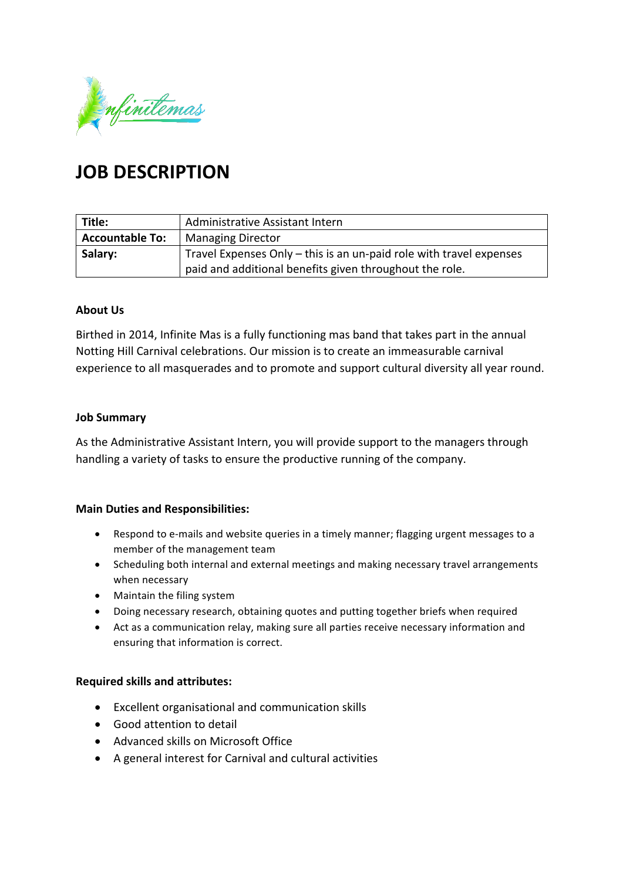

# **JOB DESCRIPTION**

| Title:                 | Administrative Assistant Intern                                     |
|------------------------|---------------------------------------------------------------------|
| <b>Accountable To:</b> | <b>Managing Director</b>                                            |
| Salary:                | Travel Expenses Only - this is an un-paid role with travel expenses |
|                        | paid and additional benefits given throughout the role.             |

### **About Us**

Birthed in 2014, Infinite Mas is a fully functioning mas band that takes part in the annual Notting Hill Carnival celebrations. Our mission is to create an immeasurable carnival experience to all masquerades and to promote and support cultural diversity all year round.

### **Job Summary**

As the Administrative Assistant Intern, you will provide support to the managers through handling a variety of tasks to ensure the productive running of the company.

### **Main Duties and Responsibilities:**

- Respond to e-mails and website queries in a timely manner; flagging urgent messages to a member of the management team
- Scheduling both internal and external meetings and making necessary travel arrangements when necessary
- Maintain the filing system
- Doing necessary research, obtaining quotes and putting together briefs when required
- Act as a communication relay, making sure all parties receive necessary information and ensuring that information is correct.

### **Required skills and attributes:**

- Excellent organisational and communication skills
- Good attention to detail
- Advanced skills on Microsoft Office
- A general interest for Carnival and cultural activities